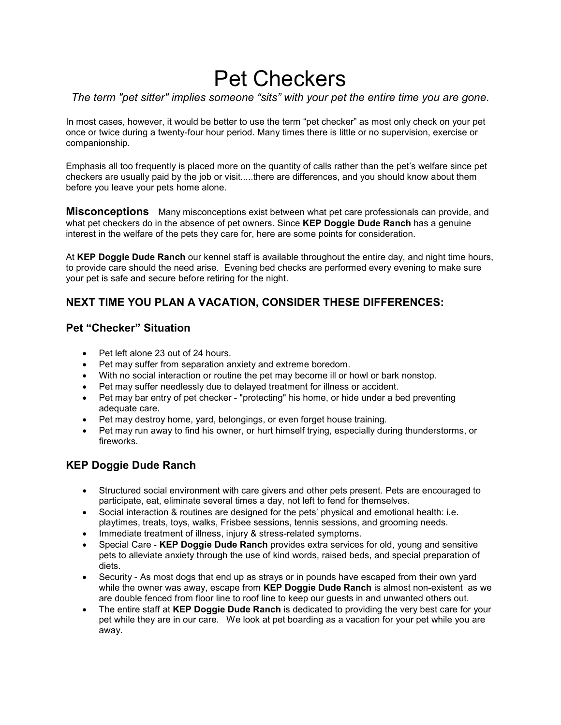# Pet Checkers

# *The term "pet sitter" implies someone "sits" with your pet the entire time you are gone*.

In most cases, however, it would be better to use the term "pet checker" as most only check on your pet once or twice during a twenty-four hour period. Many times there is little or no supervision, exercise or companionship.

Emphasis all too frequently is placed more on the quantity of calls rather than the pet's welfare since pet checkers are usually paid by the job or visit.....there are differences, and you should know about them before you leave your pets home alone.

**Misconceptions** Many misconceptions exist between what pet care professionals can provide, and what pet checkers do in the absence of pet owners. Since **KEP Doggie Dude Ranch** has a genuine interest in the welfare of the pets they care for, here are some points for consideration.

At **KEP Doggie Dude Ranch** our kennel staff is available throughout the entire day, and night time hours, to provide care should the need arise. Evening bed checks are performed every evening to make sure your pet is safe and secure before retiring for the night.

## **NEXT TIME YOU PLAN A VACATION, CONSIDER THESE DIFFERENCES:**

#### **Pet "Checker" Situation**

- Pet left alone 23 out of 24 hours.
- Pet may suffer from separation anxiety and extreme boredom.
- With no social interaction or routine the pet may become ill or howl or bark nonstop.
- Pet may suffer needlessly due to delayed treatment for illness or accident.
- Pet may bar entry of pet checker "protecting" his home, or hide under a bed preventing adequate care.
- Pet may destroy home, yard, belongings, or even forget house training.
- Pet may run away to find his owner, or hurt himself trying, especially during thunderstorms, or fireworks.

### **KEP Doggie Dude Ranch**

- Structured social environment with care givers and other pets present. Pets are encouraged to participate, eat, eliminate several times a day, not left to fend for themselves.
- Social interaction & routines are designed for the pets' physical and emotional health: i.e. playtimes, treats, toys, walks, Frisbee sessions, tennis sessions, and grooming needs.
- Immediate treatment of illness, injury & stress-related symptoms.
- Special Care **KEP Doggie Dude Ranch** provides extra services for old, young and sensitive pets to alleviate anxiety through the use of kind words, raised beds, and special preparation of diets.
- Security As most dogs that end up as strays or in pounds have escaped from their own yard while the owner was away, escape from **KEP Doggie Dude Ranch** is almost non-existent as we are double fenced from floor line to roof line to keep our guests in and unwanted others out.
- The entire staff at **KEP Doggie Dude Ranch** is dedicated to providing the very best care for your pet while they are in our care. We look at pet boarding as a vacation for your pet while you are away.